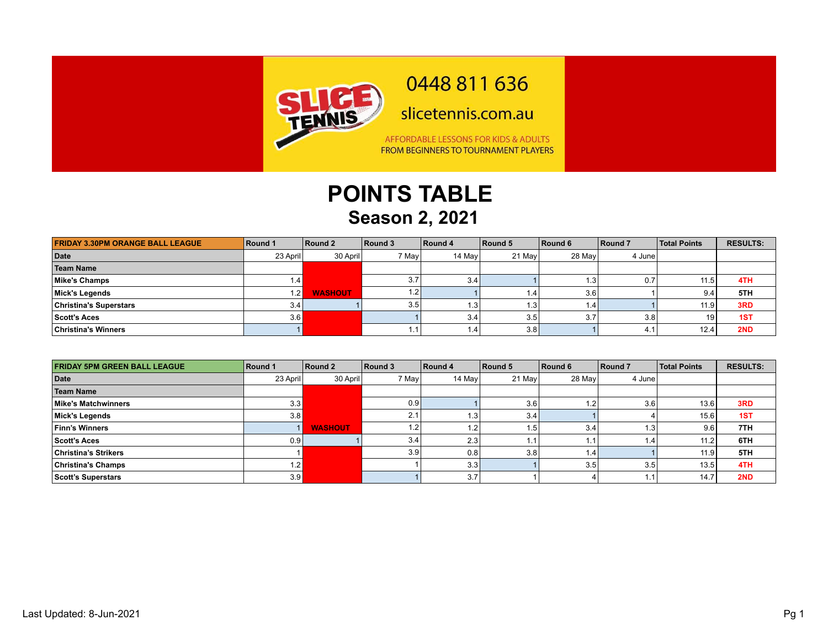

0448 811 636

slicetennis.com.au

AFFORDABLE LESSONS FOR KIDS & ADULTS FROM BEGINNERS TO TOURNAMENT PLAYERS

## **POINTS TABLE Season 2, 2021**

| <b>FRIDAY 3.30PM ORANGE BALL LEAGUE</b> | Round 1  | Round 2        | Round 3          | Round 4 | Round 5 | Round 6 | Round 7 | <b>Total Points</b> | <b>RESULTS:</b> |
|-----------------------------------------|----------|----------------|------------------|---------|---------|---------|---------|---------------------|-----------------|
| Date                                    | 23 April | 30 April       | 7 May            | 14 May  | 21 May  | 28 May  | 4 Junel |                     |                 |
| Team Name                               |          |                |                  |         |         |         |         |                     |                 |
| Mike's Champs                           | 1.4      |                | 3.7              | 3.4     |         | l .3    | 0.7     | 11.5.               | 4TH             |
| Mick's Legends                          | 1.2      | <b>WASHOUT</b> |                  |         | (0.4)   | 3.61    |         | 9.4                 | 5TH             |
| <b>Christina's Superstars</b>           | 3.4      |                | 3.5 <sub>1</sub> |         | 1.3     | l.4     |         | 11.9                | 3RD             |
| Scott's Aces                            | 3.6      |                |                  | 3.4     | 3.5     | 3.7     | 3.8     | 19                  | 1ST             |
| <b>Christina's Winners</b>              |          |                |                  |         | 3.8     |         | 4.1     | 12.4                | 2ND             |

| <b>FRIDAY 5PM GREEN BALL LEAGUE</b> | Round 1  | Round 2        | Round 3 | Round 4 | Round 5 | Round 6          | Round 7 | <b>Total Points</b> | <b>RESULTS:</b> |
|-------------------------------------|----------|----------------|---------|---------|---------|------------------|---------|---------------------|-----------------|
| Date                                | 23 April | 30 April       | 7 May   | 14 May  | 21 May  | 28 May           | 4 June  |                     |                 |
| Team Name                           |          |                |         |         |         |                  |         |                     |                 |
| Mike's Matchwinners                 | 3.3      |                | 0.9     |         | 3.6     | 1.2,             | 3.6     | 13.6                | 3RD             |
| Mick's Legends                      | 3.8      |                | 2.1     |         | 3.4     |                  |         | 15.6                | 1ST             |
| <b>Finn's Winners</b>               |          | <b>WASHOUT</b> | 1.2     |         | .5'     | 3.4              | ' 3، ،  | 9.6                 | 7TH             |
| Scott's Aces                        | 0.9      |                | 3.4     | 2.3     |         | . .              | l.4     | 11.2                | 6TH             |
| <b>Christina's Strikers</b>         |          |                | 3.9     | 0.8     | 3.8     | 1.4 <sub>1</sub> |         | 11.9                | 5TH             |
| <b>Christina's Champs</b>           | 1.2      |                |         | 3.3     |         | 3.5              | 3.5     | 13.5                | 4TH             |
| Scott's Superstars                  | 3.9      |                |         | 3.7     |         |                  |         | 14.7                | 2ND             |